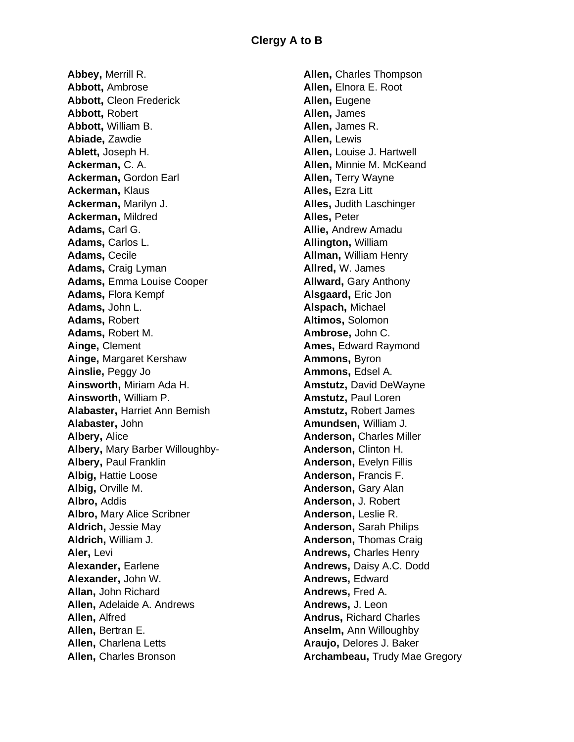**Abbey,** Merrill R. **Abbott,** Ambrose **Abbott,** Cleon Frederick **Abbott,** Robert **Abbott,** William B. **Abiade,** Zawdie **Ablett,** Joseph H. **Ackerman,** C. A. **Ackerman,** Gordon Earl **Ackerman,** Klaus **Ackerman,** Marilyn J. **Ackerman,** Mildred **Adams,** Carl G. **Adams,** Carlos L. **Adams,** Cecile **Adams,** Craig Lyman **Adams,** Emma Louise Cooper **Adams,** Flora Kempf **Adams,** John L. **Adams,** Robert **Adams,** Robert M. **Ainge,** Clement **Ainge,** Margaret Kershaw **Ainslie,** Peggy Jo **Ainsworth,** Miriam Ada H. **Ainsworth,** William P. **Alabaster,** Harriet Ann Bemish **Alabaster,** John **Albery,** Alice **Albery,** Mary Barber Willoughby-**Albery,** Paul Franklin **Albig,** Hattie Loose **Albig,** Orville M. **Albro,** Addis **Albro,** Mary Alice Scribner **Aldrich,** Jessie May **Aldrich,** William J. **Aler,** Levi **Alexander,** Earlene **Alexander,** John W. **Allan,** John Richard **Allen,** Adelaide A. Andrews **Allen,** Alfred Allen, Bertran E. **Allen,** Charlena Letts **Allen,** Charles Bronson

**Allen,** Charles Thompson **Allen,** Elnora E. Root **Allen,** Eugene **Allen,** James **Allen,** James R. **Allen,** Lewis **Allen,** Louise J. Hartwell **Allen,** Minnie M. McKeand **Allen,** Terry Wayne **Alles,** Ezra Litt **Alles,** Judith Laschinger **Alles,** Peter **Allie,** Andrew Amadu **Allington,** William **Allman,** William Henry **Allred,** W. James **Allward,** Gary Anthony **Alsgaard,** Eric Jon **Alspach,** Michael **Altimos,** Solomon **Ambrose,** John C. **Ames,** Edward Raymond **Ammons,** Byron **Ammons,** Edsel A. **Amstutz,** David DeWayne **Amstutz,** Paul Loren **Amstutz,** Robert James **Amundsen,** William J. **Anderson,** Charles Miller **Anderson,** Clinton H. **Anderson,** Evelyn Fillis **Anderson,** Francis F. **Anderson,** Gary Alan **Anderson,** J. Robert **Anderson,** Leslie R. **Anderson,** Sarah Philips **Anderson,** Thomas Craig **Andrews,** Charles Henry **Andrews,** Daisy A.C. Dodd **Andrews,** Edward **Andrews,** Fred A. **Andrews,** J. Leon **Andrus,** Richard Charles **Anselm,** Ann Willoughby **Araujo,** Delores J. Baker **Archambeau,** Trudy Mae Gregory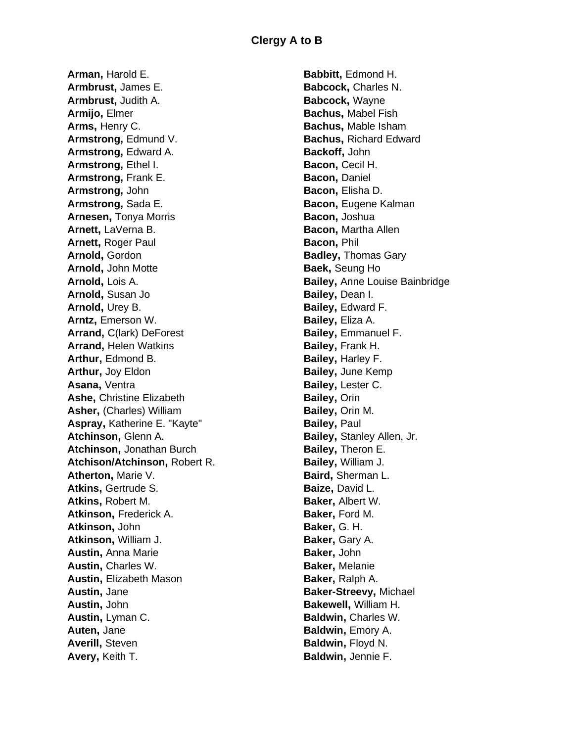**Arman,** Harold E. **Armbrust,** James E. **Armbrust,** Judith A. **Armijo,** Elmer **Arms,** Henry C. **Armstrong,** Edmund V. **Armstrong,** Edward A. **Armstrong,** Ethel I. **Armstrong,** Frank E. **Armstrong,** John **Armstrong,** Sada E. **Arnesen,** Tonya Morris **Arnett,** LaVerna B. **Arnett,** Roger Paul **Arnold,** Gordon **Arnold,** John Motte **Arnold,** Lois A. **Arnold,** Susan Jo **Arnold,** Urey B. **Arntz,** Emerson W. **Arrand,** C(lark) DeForest **Arrand,** Helen Watkins **Arthur,** Edmond B. **Arthur,** Joy Eldon **Asana,** Ventra **Ashe,** Christine Elizabeth **Asher,** (Charles) William **Aspray,** Katherine E. "Kayte" **Atchinson,** Glenn A. **Atchinson,** Jonathan Burch **Atchison/Atchinson,** Robert R. **Atherton,** Marie V. **Atkins,** Gertrude S. **Atkins,** Robert M. **Atkinson,** Frederick A. **Atkinson,** John **Atkinson,** William J. **Austin,** Anna Marie **Austin,** Charles W. **Austin,** Elizabeth Mason **Austin,** Jane **Austin,** John **Austin,** Lyman C. **Auten,** Jane **Averill,** Steven **Avery,** Keith T.

**Babbitt,** Edmond H. **Babcock,** Charles N. **Babcock,** Wayne **Bachus,** Mabel Fish **Bachus,** Mable Isham **Bachus,** Richard Edward **Backoff,** John **Bacon,** Cecil H. **Bacon,** Daniel **Bacon,** Elisha D. **Bacon,** Eugene Kalman **Bacon,** Joshua **Bacon,** Martha Allen **Bacon,** Phil **Badley,** Thomas Gary **Baek,** Seung Ho **Bailey,** Anne Louise Bainbridge **Bailey,** Dean I. **Bailey,** Edward F. **Bailey,** Eliza A. **Bailey,** Emmanuel F. **Bailey,** Frank H. **Bailey,** Harley F. **Bailey,** June Kemp **Bailey,** Lester C. **Bailey,** Orin **Bailey,** Orin M. **Bailey,** Paul **Bailey,** Stanley Allen, Jr. **Bailey,** Theron E. **Bailey,** William J. **Baird,** Sherman L. **Baize,** David L. **Baker,** Albert W. **Baker,** Ford M. **Baker,** G. H. **Baker,** Gary A. **Baker,** John **Baker,** Melanie **Baker,** Ralph A. **Baker-Streevy,** Michael **Bakewell,** William H. **Baldwin,** Charles W. **Baldwin,** Emory A. **Baldwin,** Floyd N. **Baldwin,** Jennie F.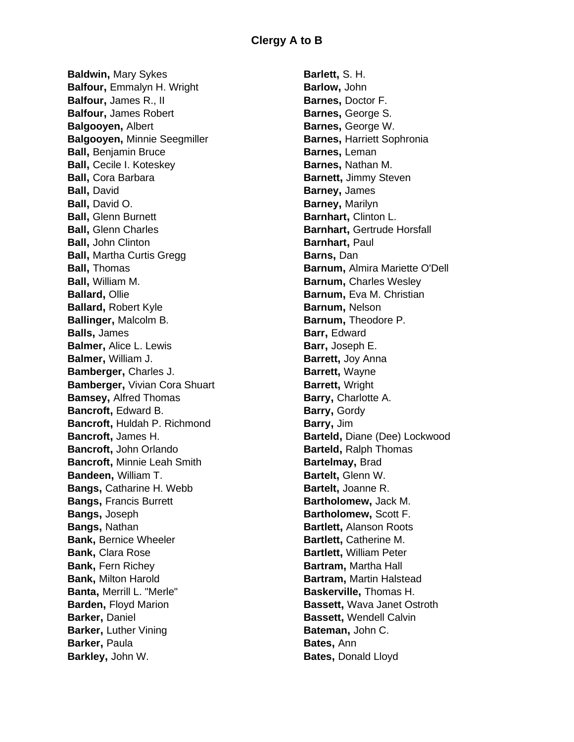**Baldwin,** Mary Sykes **Balfour,** Emmalyn H. Wright **Balfour,** James R., II **Balfour,** James Robert **Balgooyen,** Albert **Balgooyen,** Minnie Seegmiller **Ball,** Benjamin Bruce **Ball,** Cecile I. Koteskey **Ball,** Cora Barbara **Ball,** David **Ball,** David O. **Ball,** Glenn Burnett **Ball,** Glenn Charles **Ball,** John Clinton **Ball,** Martha Curtis Gregg **Ball,** Thomas **Ball,** William M. **Ballard,** Ollie **Ballard,** Robert Kyle **Ballinger,** Malcolm B. **Balls,** James **Balmer,** Alice L. Lewis **Balmer,** William J. **Bamberger,** Charles J. **Bamberger,** Vivian Cora Shuart **Bamsey,** Alfred Thomas **Bancroft,** Edward B. **Bancroft,** Huldah P. Richmond **Bancroft,** James H. **Bancroft,** John Orlando **Bancroft,** Minnie Leah Smith **Bandeen,** William T. **Bangs,** Catharine H. Webb **Bangs,** Francis Burrett **Bangs,** Joseph **Bangs,** Nathan **Bank,** Bernice Wheeler **Bank,** Clara Rose **Bank, Fern Richey Bank,** Milton Harold **Banta,** Merrill L. "Merle" **Barden, Floyd Marion Barker,** Daniel **Barker**, Luther Vining **Barker**, Paula **Barkley,** John W.

**Barlett,** S. H. **Barlow,** John **Barnes,** Doctor F. **Barnes,** George S. **Barnes,** George W. **Barnes,** Harriett Sophronia **Barnes,** Leman **Barnes,** Nathan M. **Barnett,** Jimmy Steven **Barney,** James **Barney,** Marilyn **Barnhart,** Clinton L. **Barnhart,** Gertrude Horsfall **Barnhart,** Paul **Barns,** Dan **Barnum,** Almira Mariette O'Dell **Barnum, Charles Wesley Barnum,** Eva M. Christian **Barnum,** Nelson **Barnum,** Theodore P. **Barr,** Edward **Barr,** Joseph E. **Barrett,** Joy Anna **Barrett,** Wayne **Barrett,** Wright **Barry,** Charlotte A. **Barry,** Gordy **Barry,** Jim **Barteld,** Diane (Dee) Lockwood **Barteld,** Ralph Thomas **Bartelmay,** Brad **Bartelt,** Glenn W. **Bartelt,** Joanne R. **Bartholomew,** Jack M. **Bartholomew,** Scott F. **Bartlett,** Alanson Roots **Bartlett,** Catherine M. **Bartlett,** William Peter **Bartram,** Martha Hall **Bartram,** Martin Halstead **Baskerville,** Thomas H. **Bassett,** Wava Janet Ostroth **Bassett,** Wendell Calvin **Bateman,** John C. **Bates,** Ann **Bates,** Donald Lloyd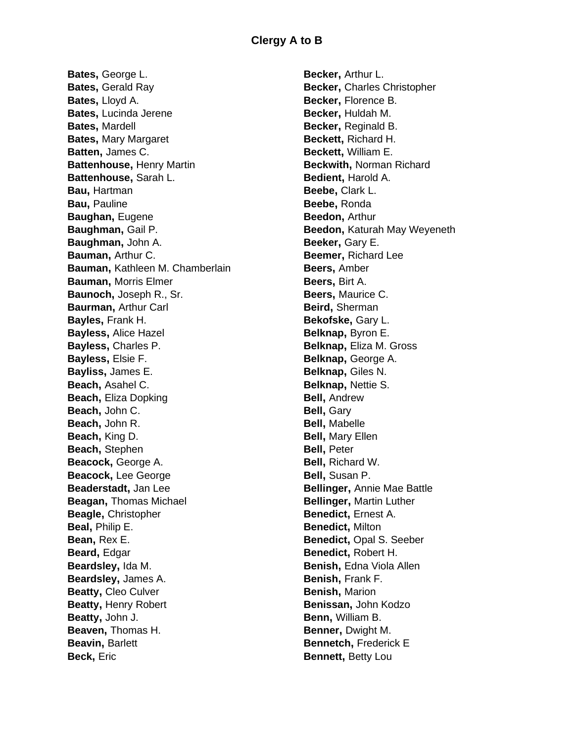**Bates,** George L. **Bates**, Gerald Ray **Bates,** Lloyd A. **Bates,** Lucinda Jerene **Bates,** Mardell **Bates,** Mary Margaret **Batten,** James C. **Battenhouse,** Henry Martin **Battenhouse,** Sarah L. **Bau,** Hartman **Bau,** Pauline **Baughan,** Eugene **Baughman,** Gail P. **Baughman,** John A. **Bauman,** Arthur C. **Bauman,** Kathleen M. Chamberlain **Bauman,** Morris Elmer **Baunoch,** Joseph R., Sr. **Baurman,** Arthur Carl **Bayles,** Frank H. **Bayless,** Alice Hazel **Bayless,** Charles P. **Bayless,** Elsie F. **Bayliss,** James E. **Beach,** Asahel C. **Beach,** Eliza Dopking **Beach,** John C. **Beach,** John R. **Beach,** King D. **Beach,** Stephen **Beacock,** George A. **Beacock,** Lee George **Beaderstadt,** Jan Lee **Beagan,** Thomas Michael **Beagle,** Christopher **Beal,** Philip E. **Bean,** Rex E. **Beard,** Edgar **Beardsley,** Ida M. **Beardsley,** James A. **Beatty,** Cleo Culver **Beatty,** Henry Robert **Beatty,** John J. **Beaven,** Thomas H. **Beavin,** Barlett **Beck,** Eric

**Becker,** Arthur L. **Becker,** Charles Christopher **Becker,** Florence B. **Becker,** Huldah M. **Becker,** Reginald B. **Beckett,** Richard H. **Beckett,** William E. **Beckwith,** Norman Richard **Bedient,** Harold A. **Beebe,** Clark L. **Beebe,** Ronda **Beedon,** Arthur **Beedon,** Katurah May Weyeneth **Beeker,** Gary E. **Beemer,** Richard Lee **Beers,** Amber **Beers,** Birt A. **Beers,** Maurice C. **Beird,** Sherman **Bekofske,** Gary L. **Belknap,** Byron E. **Belknap,** Eliza M. Gross **Belknap,** George A. **Belknap,** Giles N. **Belknap,** Nettie S. **Bell,** Andrew **Bell,** Gary **Bell,** Mabelle **Bell,** Mary Ellen **Bell,** Peter **Bell,** Richard W. **Bell,** Susan P. **Bellinger,** Annie Mae Battle **Bellinger,** Martin Luther **Benedict,** Ernest A. **Benedict,** Milton **Benedict,** Opal S. Seeber **Benedict,** Robert H. **Benish,** Edna Viola Allen **Benish,** Frank F. **Benish,** Marion **Benissan,** John Kodzo **Benn,** William B. **Benner,** Dwight M. **Bennetch, Frederick E Bennett,** Betty Lou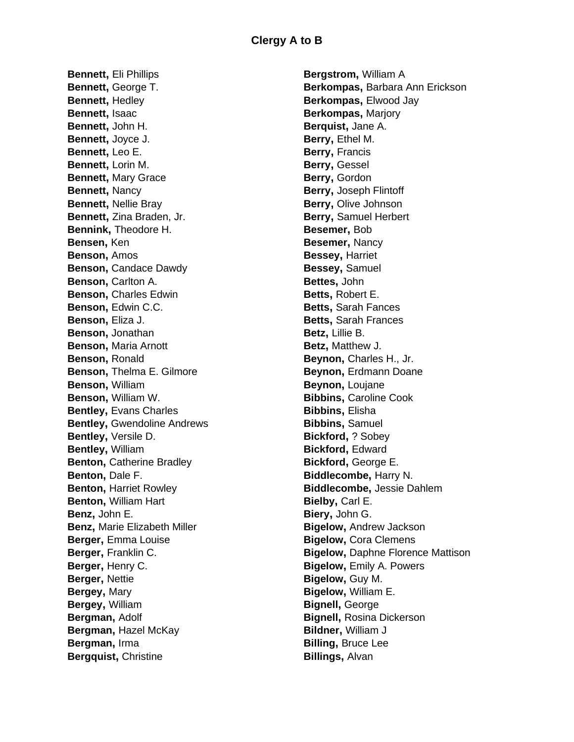**Bennett,** Eli Phillips **Bennett,** George T. **Bennett,** Hedley **Bennett,** Isaac **Bennett,** John H. **Bennett,** Joyce J. **Bennett,** Leo E. **Bennett,** Lorin M. **Bennett,** Mary Grace **Bennett,** Nancy **Bennett,** Nellie Bray **Bennett,** Zina Braden, Jr. **Bennink,** Theodore H. **Bensen,** Ken **Benson,** Amos **Benson, Candace Dawdy Benson,** Carlton A. **Benson,** Charles Edwin **Benson,** Edwin C.C. **Benson,** Eliza J. **Benson,** Jonathan **Benson,** Maria Arnott **Benson,** Ronald **Benson,** Thelma E. Gilmore **Benson,** William **Benson,** William W. **Bentley,** Evans Charles **Bentley,** Gwendoline Andrews **Bentley,** Versile D. **Bentley,** William **Benton, Catherine Bradley Benton,** Dale F. **Benton, Harriet Rowley Benton,** William Hart **Benz,** John E. **Benz,** Marie Elizabeth Miller **Berger,** Emma Louise **Berger,** Franklin C. **Berger,** Henry C. **Berger,** Nettie **Bergey,** Mary **Bergey,** William **Bergman,** Adolf **Bergman,** Hazel McKay **Bergman,** Irma **Bergquist,** Christine

**Bergstrom,** William A **Berkompas,** Barbara Ann Erickson **Berkompas,** Elwood Jay **Berkompas,** Marjory **Berquist,** Jane A. **Berry,** Ethel M. **Berry,** Francis **Berry,** Gessel **Berry,** Gordon **Berry,** Joseph Flintoff **Berry,** Olive Johnson **Berry,** Samuel Herbert **Besemer,** Bob **Besemer,** Nancy **Bessey,** Harriet **Bessey,** Samuel **Bettes,** John **Betts,** Robert E. **Betts,** Sarah Fances **Betts,** Sarah Frances **Betz,** Lillie B. **Betz,** Matthew J. **Beynon,** Charles H., Jr. **Beynon,** Erdmann Doane **Beynon,** Loujane **Bibbins,** Caroline Cook **Bibbins,** Elisha **Bibbins,** Samuel **Bickford,** ? Sobey **Bickford,** Edward **Bickford,** George E. **Biddlecombe,** Harry N. **Biddlecombe,** Jessie Dahlem **Bielby,** Carl E. **Biery,** John G. **Bigelow,** Andrew Jackson **Bigelow,** Cora Clemens **Bigelow,** Daphne Florence Mattison **Bigelow,** Emily A. Powers **Bigelow,** Guy M. **Bigelow,** William E. **Bignell,** George **Bignell,** Rosina Dickerson **Bildner,** William J **Billing,** Bruce Lee **Billings,** Alvan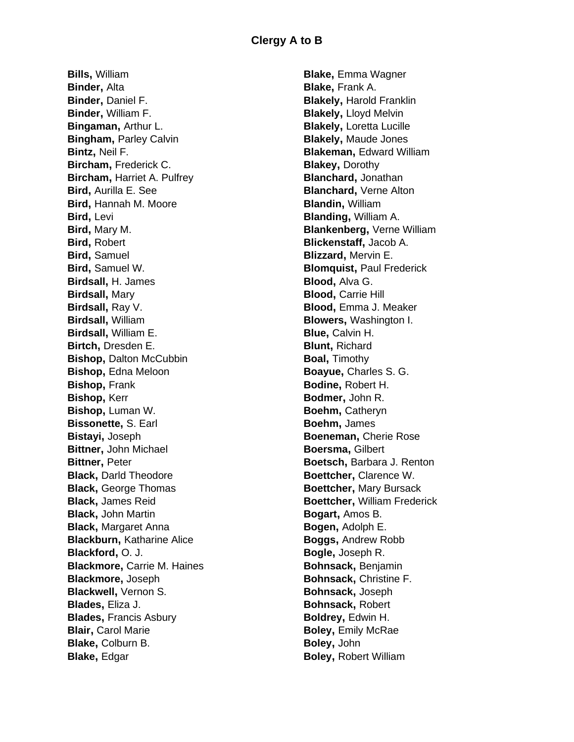**Bills,** William **Binder,** Alta **Binder,** Daniel F. **Binder,** William F. **Bingaman,** Arthur L. **Bingham,** Parley Calvin **Bintz,** Neil F. **Bircham,** Frederick C. **Bircham,** Harriet A. Pulfrey **Bird,** Aurilla E. See **Bird,** Hannah M. Moore **Bird,** Levi **Bird,** Mary M. **Bird,** Robert **Bird,** Samuel **Bird,** Samuel W. **Birdsall,** H. James **Birdsall,** Mary **Birdsall,** Ray V. **Birdsall,** William **Birdsall,** William E. **Birtch,** Dresden E. **Bishop,** Dalton McCubbin **Bishop,** Edna Meloon **Bishop,** Frank **Bishop,** Kerr **Bishop,** Luman W. **Bissonette,** S. Earl **Bistayi,** Joseph **Bittner,** John Michael **Bittner,** Peter **Black,** Darld Theodore **Black,** George Thomas **Black,** James Reid **Black,** John Martin **Black,** Margaret Anna **Blackburn,** Katharine Alice **Blackford,** O. J. **Blackmore,** Carrie M. Haines **Blackmore,** Joseph **Blackwell**, Vernon S. **Blades,** Eliza J. **Blades,** Francis Asbury **Blair,** Carol Marie **Blake,** Colburn B. **Blake,** Edgar

**Blake,** Emma Wagner **Blake,** Frank A. **Blakely,** Harold Franklin **Blakely,** Lloyd Melvin **Blakely,** Loretta Lucille **Blakely,** Maude Jones **Blakeman,** Edward William **Blakey,** Dorothy **Blanchard,** Jonathan **Blanchard,** Verne Alton **Blandin,** William **Blanding,** William A. **Blankenberg,** Verne William **Blickenstaff,** Jacob A. **Blizzard,** Mervin E. **Blomquist,** Paul Frederick **Blood,** Alva G. **Blood,** Carrie Hill **Blood,** Emma J. Meaker **Blowers,** Washington I. **Blue,** Calvin H. **Blunt,** Richard **Boal,** Timothy **Boayue,** Charles S. G. **Bodine,** Robert H. **Bodmer,** John R. **Boehm,** Catheryn **Boehm,** James **Boeneman,** Cherie Rose **Boersma,** Gilbert **Boetsch,** Barbara J. Renton **Boettcher,** Clarence W. **Boettcher,** Mary Bursack **Boettcher,** William Frederick **Bogart,** Amos B. **Bogen,** Adolph E. **Boggs,** Andrew Robb **Bogle,** Joseph R. **Bohnsack,** Benjamin **Bohnsack,** Christine F. **Bohnsack,** Joseph **Bohnsack,** Robert **Boldrey,** Edwin H. **Boley,** Emily McRae **Boley,** John **Boley,** Robert William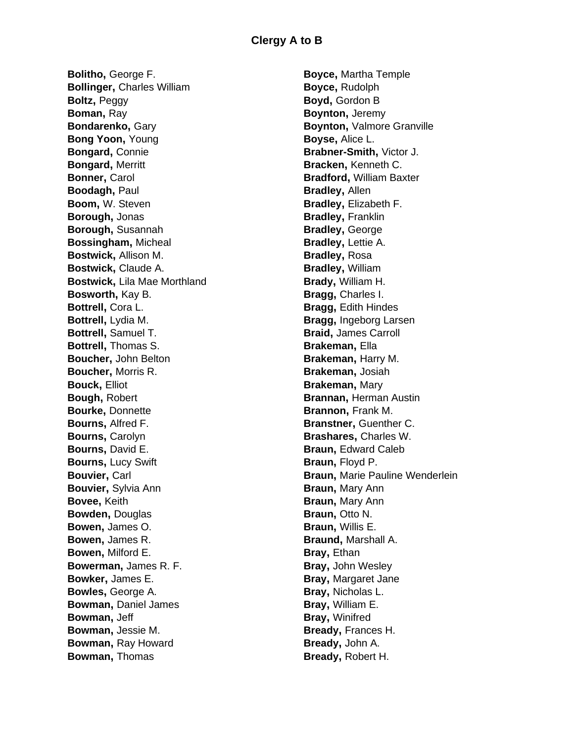**Bolitho,** George F. **Bollinger,** Charles William **Boltz,** Peggy **Boman,** Ray **Bondarenko,** Gary **Bong Yoon,** Young **Bongard,** Connie **Bongard,** Merritt **Bonner,** Carol **Boodagh,** Paul **Boom,** W. Steven **Borough,** Jonas **Borough,** Susannah **Bossingham,** Micheal **Bostwick,** Allison M. **Bostwick,** Claude A. **Bostwick,** Lila Mae Morthland **Bosworth,** Kay B. **Bottrell,** Cora L. **Bottrell,** Lydia M. **Bottrell,** Samuel T. **Bottrell,** Thomas S. **Boucher,** John Belton **Boucher,** Morris R. **Bouck,** Elliot **Bough,** Robert **Bourke,** Donnette **Bourns,** Alfred F. **Bourns,** Carolyn **Bourns,** David E. **Bourns,** Lucy Swift **Bouvier, Carl Bouvier,** Sylvia Ann **Bovee,** Keith **Bowden,** Douglas **Bowen,** James O. **Bowen,** James R. **Bowen,** Milford E. **Bowerman,** James R. F. **Bowker,** James E. **Bowles,** George A. **Bowman,** Daniel James **Bowman,** Jeff **Bowman,** Jessie M. **Bowman,** Ray Howard **Bowman,** Thomas

**Boyce,** Martha Temple **Boyce,** Rudolph **Boyd,** Gordon B **Boynton,** Jeremy **Boynton,** Valmore Granville **Boyse,** Alice L. **Brabner-Smith,** Victor J. **Bracken,** Kenneth C. **Bradford,** William Baxter **Bradley,** Allen **Bradley,** Elizabeth F. **Bradley,** Franklin **Bradley,** George **Bradley,** Lettie A. **Bradley,** Rosa **Bradley,** William **Brady,** William H. **Bragg,** Charles I. **Bragg,** Edith Hindes **Bragg,** Ingeborg Larsen **Braid,** James Carroll **Brakeman,** Ella **Brakeman,** Harry M. **Brakeman,** Josiah **Brakeman,** Mary **Brannan,** Herman Austin **Brannon,** Frank M. **Branstner,** Guenther C. **Brashares,** Charles W. **Braun, Edward Caleb Braun,** Floyd P. **Braun,** Marie Pauline Wenderlein **Braun,** Mary Ann **Braun,** Mary Ann **Braun,** Otto N. **Braun,** Willis E. **Braund,** Marshall A. **Bray,** Ethan **Bray,** John Wesley **Bray,** Margaret Jane **Bray,** Nicholas L. **Bray,** William E. **Bray,** Winifred **Bready,** Frances H. **Bready,** John A. **Bready,** Robert H.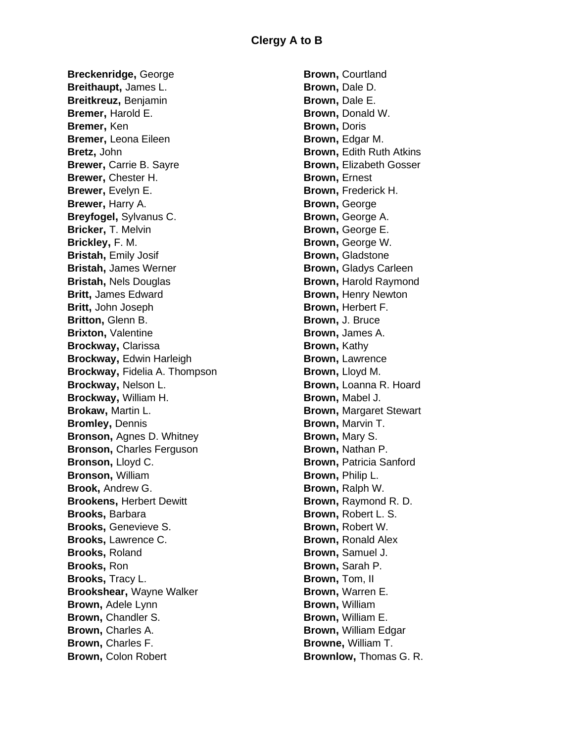**Breckenridge,** George **Breithaupt,** James L. **Breitkreuz,** Benjamin **Bremer,** Harold E. **Bremer,** Ken **Bremer,** Leona Eileen **Bretz,** John **Brewer,** Carrie B. Sayre **Brewer,** Chester H. **Brewer**, Evelyn E. **Brewer,** Harry A. **Breyfogel,** Sylvanus C. **Bricker,** T. Melvin **Brickley,** F. M. **Bristah,** Emily Josif **Bristah,** James Werner **Bristah,** Nels Douglas **Britt,** James Edward **Britt,** John Joseph **Britton,** Glenn B. **Brixton, Valentine Brockway,** Clarissa **Brockway,** Edwin Harleigh **Brockway,** Fidelia A. Thompson **Brockway,** Nelson L. **Brockway,** William H. **Brokaw,** Martin L. **Bromley,** Dennis **Bronson,** Agnes D. Whitney **Bronson,** Charles Ferguson **Bronson,** Lloyd C. **Bronson,** William **Brook,** Andrew G. **Brookens,** Herbert Dewitt **Brooks,** Barbara **Brooks,** Genevieve S. **Brooks,** Lawrence C. **Brooks,** Roland **Brooks,** Ron **Brooks,** Tracy L. **Brookshear,** Wayne Walker **Brown,** Adele Lynn **Brown,** Chandler S. **Brown,** Charles A. **Brown,** Charles F. **Brown,** Colon Robert

**Brown,** Courtland **Brown,** Dale D. **Brown,** Dale E. **Brown,** Donald W. **Brown,** Doris **Brown,** Edgar M. **Brown,** Edith Ruth Atkins **Brown,** Elizabeth Gosser **Brown,** Ernest **Brown,** Frederick H. **Brown,** George **Brown,** George A. **Brown,** George E. **Brown,** George W. **Brown,** Gladstone **Brown,** Gladys Carleen **Brown,** Harold Raymond **Brown,** Henry Newton **Brown,** Herbert F. **Brown,** J. Bruce **Brown,** James A. **Brown,** Kathy **Brown,** Lawrence **Brown,** Lloyd M. **Brown,** Loanna R. Hoard **Brown,** Mabel J. **Brown,** Margaret Stewart **Brown,** Marvin T. **Brown,** Mary S. **Brown,** Nathan P. **Brown,** Patricia Sanford **Brown,** Philip L. **Brown,** Ralph W. **Brown,** Raymond R. D. **Brown,** Robert L. S. **Brown,** Robert W. **Brown,** Ronald Alex **Brown,** Samuel J. **Brown,** Sarah P. **Brown,** Tom, II **Brown,** Warren E. **Brown,** William **Brown,** William E. **Brown,** William Edgar **Browne,** William T. **Brownlow,** Thomas G. R.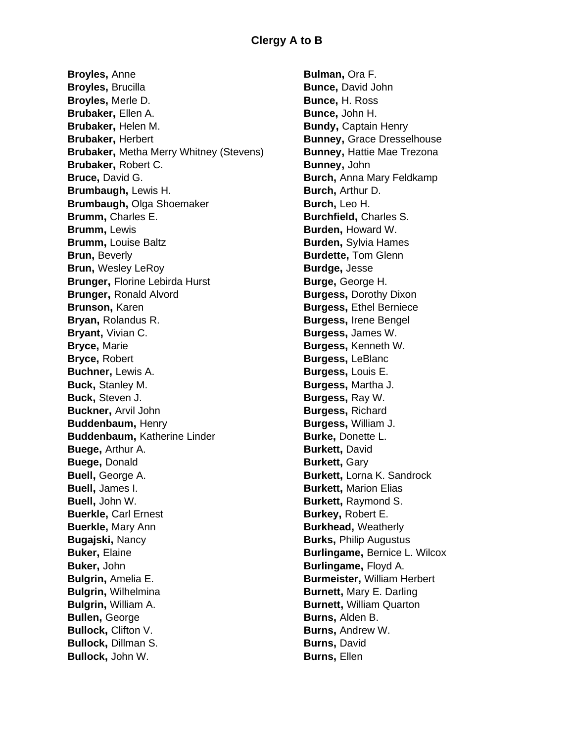**Broyles,** Anne **Broyles,** Brucilla **Broyles,** Merle D. **Brubaker,** Ellen A. **Brubaker,** Helen M. **Brubaker,** Herbert **Brubaker,** Metha Merry Whitney (Stevens) **Brubaker,** Robert C. **Bruce,** David G. **Brumbaugh,** Lewis H. **Brumbaugh,** Olga Shoemaker **Brumm,** Charles E. **Brumm,** Lewis **Brumm,** Louise Baltz **Brun,** Beverly **Brun,** Wesley LeRoy **Brunger,** Florine Lebirda Hurst **Brunger,** Ronald Alvord **Brunson,** Karen **Bryan,** Rolandus R. **Bryant,** Vivian C. **Bryce,** Marie **Bryce,** Robert **Buchner,** Lewis A. **Buck,** Stanley M. **Buck,** Steven J. **Buckner,** Arvil John **Buddenbaum,** Henry **Buddenbaum,** Katherine Linder **Buege,** Arthur A. **Buege,** Donald **Buell,** George A. **Buell,** James I. **Buell,** John W. **Buerkle,** Carl Ernest **Buerkle,** Mary Ann **Bugajski,** Nancy **Buker,** Elaine **Buker,** John **Bulgrin,** Amelia E. **Bulgrin,** Wilhelmina **Bulgrin,** William A. **Bullen,** George **Bullock, Clifton V. Bullock,** Dillman S. **Bullock,** John W.

**Bulman,** Ora F. **Bunce,** David John **Bunce,** H. Ross **Bunce,** John H. **Bundy,** Captain Henry **Bunney,** Grace Dresselhouse **Bunney,** Hattie Mae Trezona **Bunney,** John **Burch,** Anna Mary Feldkamp **Burch,** Arthur D. **Burch,** Leo H. **Burchfield,** Charles S. **Burden,** Howard W. **Burden,** Sylvia Hames **Burdette,** Tom Glenn **Burdge,** Jesse **Burge,** George H. **Burgess,** Dorothy Dixon **Burgess,** Ethel Berniece **Burgess,** Irene Bengel **Burgess,** James W. **Burgess,** Kenneth W. **Burgess,** LeBlanc **Burgess,** Louis E. **Burgess,** Martha J. **Burgess,** Ray W. **Burgess,** Richard **Burgess,** William J. **Burke,** Donette L. **Burkett**, David **Burkett**, Gary **Burkett,** Lorna K. Sandrock **Burkett,** Marion Elias **Burkett,** Raymond S. **Burkey,** Robert E. **Burkhead,** Weatherly **Burks,** Philip Augustus **Burlingame,** Bernice L. Wilcox **Burlingame,** Floyd A. **Burmeister,** William Herbert **Burnett,** Mary E. Darling **Burnett,** William Quarton **Burns,** Alden B. **Burns,** Andrew W. **Burns,** David **Burns,** Ellen